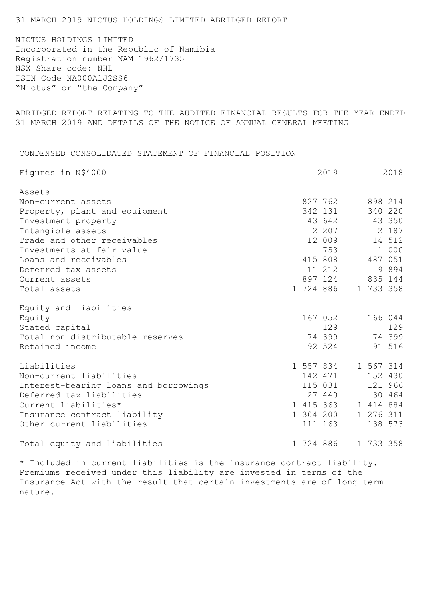## 31 MARCH 2019 NICTUS HOLDINGS LIMITED ABRIDGED REPORT

NICTUS HOLDINGS LIMITED Incorporated in the Republic of Namibia Registration number NAM 1962/1735 NSX Share code: NHL ISIN Code NA000A1J2SS6 "Nictus" or "the Company"

ABRIDGED REPORT RELATING TO THE AUDITED FINANCIAL RESULTS FOR THE YEAR ENDED 31 MARCH 2019 AND DETAILS OF THE NOTICE OF ANNUAL GENERAL MEETING

CONDENSED CONSOLIDATED STATEMENT OF FINANCIAL POSITION

| Figures in N\$'000                    |           | 2019                |           | 2018    |
|---------------------------------------|-----------|---------------------|-----------|---------|
| Assets                                |           |                     |           |         |
| Non-current assets                    |           | 827 762             |           | 898 214 |
| Property, plant and equipment         |           | 342 131             |           | 340 220 |
| Investment property                   |           | 43 642              |           | 43 350  |
| Intangible assets                     |           | 2 207               |           | 2 187   |
| Trade and other receivables           |           | 12 009              |           | 14 512  |
| Investments at fair value             |           | 753                 |           | 1 000   |
| Loans and receivables                 |           | 415 808             |           | 487 051 |
| Deferred tax assets                   |           | 11 212              |           | 9 8 9 4 |
| Current assets                        |           | 897 124             |           | 835 144 |
| Total assets                          |           | 1 724 886           | 1 733 358 |         |
| Equity and liabilities                |           |                     |           |         |
| Equity                                |           | 167 052             |           | 166 044 |
| Stated capital                        |           | 129                 |           | 129     |
| Total non-distributable reserves      |           | 74 399              | 74 399    |         |
| Retained income                       |           | 92 524              |           | 91 516  |
| Liabilities                           |           | 1 557 834 1 567 314 |           |         |
| Non-current liabilities               |           | 142 471             |           | 152 430 |
| Interest-bearing loans and borrowings |           | 115 031             |           | 121 966 |
| Deferred tax liabilities              |           | 27 440              |           | 30 464  |
| Current liabilities*                  |           | 1 415 363           | 1 414 884 |         |
| Insurance contract liability          |           | 1 304 200           | 1 276 311 |         |
| Other current liabilities             |           | 111 163             |           | 138 573 |
| Total equity and liabilities          | 1 724 886 |                     | 1 733 358 |         |

\* Included in current liabilities is the insurance contract liability. Premiums received under this liability are invested in terms of the Insurance Act with the result that certain investments are of long-term nature.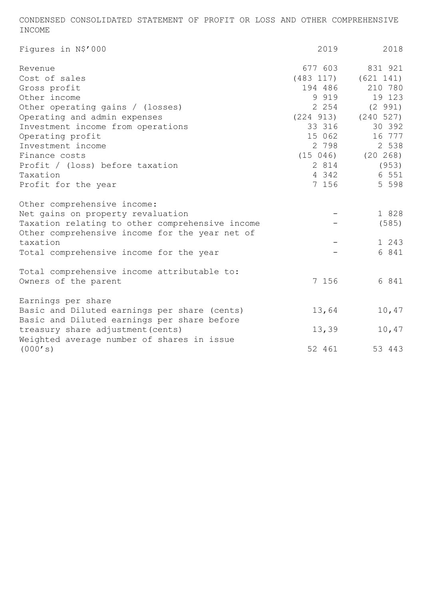CONDENSED CONSOLIDATED STATEMENT OF PROFIT OR LOSS AND OTHER COMPREHENSIVE INCOME

| Figures in N\$'000                                                                                                                                                                                                                                             | 2019                                                                                                         | 2018                                                                                                                                 |
|----------------------------------------------------------------------------------------------------------------------------------------------------------------------------------------------------------------------------------------------------------------|--------------------------------------------------------------------------------------------------------------|--------------------------------------------------------------------------------------------------------------------------------------|
| Revenue<br>Cost of sales<br>Gross profit<br>Other income<br>Other operating gains / (losses)<br>Operating and admin expenses<br>Investment income from operations<br>Operating profit<br>Investment income<br>Finance costs<br>Profit / (loss) before taxation | 677 603<br>(483 117)<br>194 486<br>9 9 1 9<br>2 2 5 4<br>(224 913)<br>33 316<br>15 062<br>2 7 9 8<br>2 8 1 4 | 831 921<br>(621 141)<br>210 780<br>19 123<br>(2 991)<br>(240 527)<br>30 392<br>16 777<br>2 538<br>$(15 \t046)$ $(20 \t268)$<br>(953) |
| Taxation<br>Profit for the year                                                                                                                                                                                                                                | 4 342<br>7 156                                                                                               | 6 551<br>5 5 9 8                                                                                                                     |
| Other comprehensive income:<br>Net gains on property revaluation<br>Taxation relating to other comprehensive income<br>Other comprehensive income for the year net of<br>taxation<br>Total comprehensive income for the year                                   |                                                                                                              | 1 828<br>(585)<br>1 243<br>6 841                                                                                                     |
| Total comprehensive income attributable to:<br>Owners of the parent                                                                                                                                                                                            | 7 156                                                                                                        | 6 841                                                                                                                                |
| Earnings per share<br>Basic and Diluted earnings per share (cents)<br>Basic and Diluted earnings per share before<br>treasury share adjustment (cents)<br>Weighted average number of shares in issue                                                           | 13,64<br>13,39                                                                                               | 10,47<br>10,47                                                                                                                       |
| (000's)                                                                                                                                                                                                                                                        | 52 461                                                                                                       | 53 443                                                                                                                               |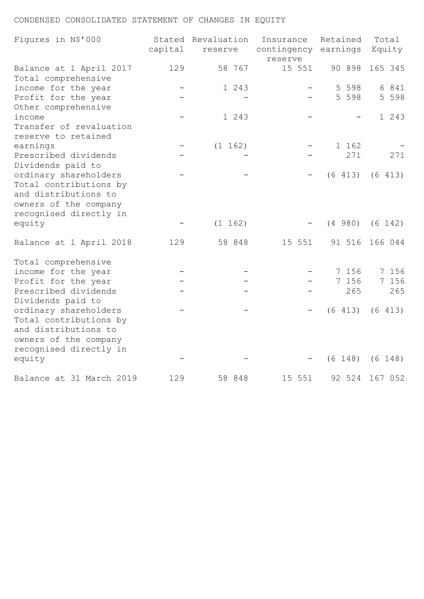# CONDENSED CONSOLIDATED STATEMENT OF CHANGES IN EQUITY

| Figures in N\$'000                                                                                                         | capital | Stated Revaluation<br>reserve | Insurance<br>contingency earnings<br>reserve | Retained           | Total<br>Equity  |
|----------------------------------------------------------------------------------------------------------------------------|---------|-------------------------------|----------------------------------------------|--------------------|------------------|
| Balance at 1 April 2017<br>Total comprehensive                                                                             | 129     | 58 767                        | 15 551                                       | 90 898             | 165 345          |
| income for the year<br>Profit for the year<br>Other comprehensive                                                          |         | 1 243                         |                                              | 5 5 9 8<br>5 5 9 8 | 6 841<br>5 5 9 8 |
| income<br>Transfer of revaluation<br>reserve to retained                                                                   |         | 1 243                         |                                              |                    | 1 243            |
| earnings                                                                                                                   |         | (1 162)                       |                                              | 1 162              |                  |
| Prescribed dividends<br>Dividends paid to                                                                                  |         |                               |                                              | 271                | 271              |
| ordinary shareholders<br>Total contributions by<br>and distributions to<br>owners of the company<br>recognised directly in |         |                               |                                              | (6 413)            | (6 413)          |
| equity                                                                                                                     |         | (1 162)                       |                                              | (4 980)            | (6 142)          |
| Balance at 1 April 2018                                                                                                    | 129     | 58 848                        | 15 551                                       | 91 516             | 166 044          |
| Total comprehensive                                                                                                        |         |                               |                                              |                    |                  |
| income for the year                                                                                                        |         |                               |                                              | 7 156              | 7 156            |
| Profit for the year<br>Prescribed dividends<br>Dividends paid to                                                           |         |                               |                                              | 7 156<br>265       | 7 156<br>265     |
| ordinary shareholders<br>Total contributions by<br>and distributions to<br>owners of the company                           |         |                               |                                              | (6 413)            | (6 413)          |
| recognised directly in<br>equity                                                                                           |         |                               |                                              | (6 148)            | $(6 \ 148)$      |
| Balance at 31 March 2019                                                                                                   | 129     | 58 848                        | 15 551                                       | 92 524             | 167 052          |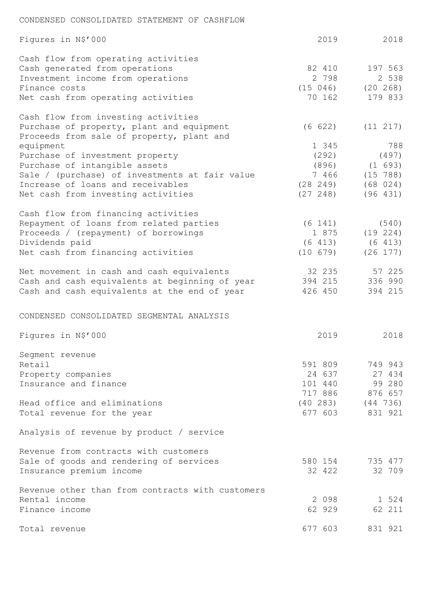## CONDENSED CONSOLIDATED STATEMENT OF CASHFLOW

| Figures in N\$'000                                                                                                                                                                                                                                                                                    | 2019                                                    | 2018                                                        |
|-------------------------------------------------------------------------------------------------------------------------------------------------------------------------------------------------------------------------------------------------------------------------------------------------------|---------------------------------------------------------|-------------------------------------------------------------|
| Cash flow from operating activities<br>Cash generated from operations<br>Investment income from operations<br>Finance costs                                                                                                                                                                           | 82 410<br>2 7 9 8<br>(15 046)                           | 197 563<br>2 538<br>$(20\ 268)$                             |
| Net cash from operating activities                                                                                                                                                                                                                                                                    | 70 162                                                  | 179 833                                                     |
| Cash flow from investing activities<br>Purchase of property, plant and equipment<br>Proceeds from sale of property, plant and<br>equipment<br>Purchase of investment property<br>Purchase of intangible assets<br>Sale / (purchase) of investments at fair value<br>Increase of loans and receivables | (6 622)<br>1 345<br>(292)<br>(896)<br>7 466<br>(28 249) | (11 217)<br>788<br>(497)<br>(1 693)<br>(15 788)<br>(68 024) |
| Net cash from investing activities                                                                                                                                                                                                                                                                    | (27, 248)                                               | (96 431)                                                    |
| Cash flow from financing activities<br>Repayment of loans from related parties<br>Proceeds / (repayment) of borrowings<br>Dividends paid<br>Net cash from financing activities                                                                                                                        | (6 141)<br>1 875<br>(6 413)<br>(10 679)                 | (540)<br>(19 224)<br>(6 413)<br>(26 177)                    |
| Net movement in cash and cash equivalents<br>Cash and cash equivalents at beginning of year<br>Cash and cash equivalents at the end of year                                                                                                                                                           | 32 235<br>394 215<br>426 450                            | 57 225<br>336 990<br>394 215                                |
| CONDENSED CONSOLIDATED SEGMENTAL ANALYSIS                                                                                                                                                                                                                                                             |                                                         |                                                             |
| Figures in N\$'000                                                                                                                                                                                                                                                                                    | 2019                                                    | 2018                                                        |
| Segment revenue<br>Retail<br>Property companies<br>Insurance and finance                                                                                                                                                                                                                              | 591 809<br>24 637<br>101 440                            | 749 943<br>27 434<br>99 280<br>717 886 876 657              |
| Head office and eliminations<br>Total revenue for the year                                                                                                                                                                                                                                            |                                                         | $(40 283)$ $(44 736)$<br>677 603 831 921                    |
| Analysis of revenue by product / service                                                                                                                                                                                                                                                              |                                                         |                                                             |
| Revenue from contracts with customers<br>Sale of goods and rendering of services<br>Insurance premium income                                                                                                                                                                                          | 580 154<br>32 422                                       | 735 477<br>32 709                                           |
| Revenue other than from contracts with customers<br>Rental income<br>Finance income                                                                                                                                                                                                                   | 2 0 9 8<br>62 929                                       | 1 524<br>62 211                                             |
| Total revenue                                                                                                                                                                                                                                                                                         | 677 603                                                 | 831 921                                                     |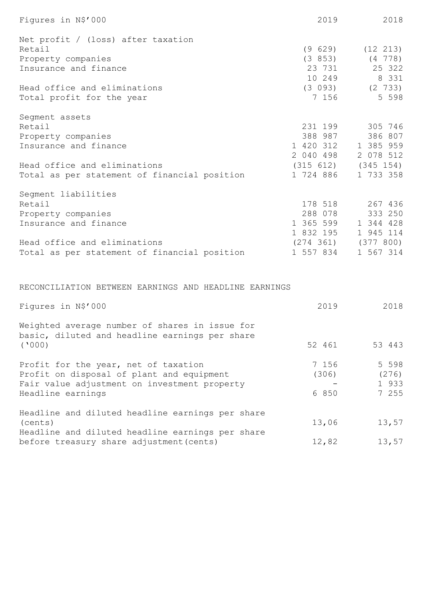| Figures in N\$'000                           | 2019                    | 2018                        |
|----------------------------------------------|-------------------------|-----------------------------|
| Net profit / (loss) after taxation           |                         |                             |
| Retail                                       | (9629)                  | $(12 \t213)$                |
| Property companies                           |                         | $(3 853)$ $(4 778)$         |
| Insurance and finance                        | 23 731                  | 25 322                      |
|                                              |                         | 10 249 8 331                |
| Head office and eliminations                 | (3 093)                 | $(2 \t 733)$                |
| Total profit for the year                    | 7 156                   | 5 5 9 8                     |
| Segment assets                               |                         |                             |
| Retail                                       | 231 199                 | 305 746                     |
| Property companies                           | 388 987                 | 386 807                     |
| Insurance and finance                        | 1 420 312               | 1 385 959                   |
|                                              | 2 040 498               | 2 078 512                   |
| Head office and eliminations                 | $(315 612)$ $(345 154)$ |                             |
| Total as per statement of financial position | 1 724 886               | 1 733 358                   |
| Segment liabilities                          |                         |                             |
| Retail                                       | 178 518                 | 267 436                     |
| Property companies                           | 288 078                 | 333 250                     |
| Insurance and finance                        | 1 365 599               | 1 344 428                   |
|                                              | 1 832 195               | 1 945 114                   |
| Head office and eliminations                 |                         | $(274 \t361)$ $(377 \t800)$ |
| Total as per statement of financial position | 1 557 834               | 1 567 314                   |

RECONCILIATION BETWEEN EARNINGS AND HEADLINE EARNINGS

| Figures in N\$'000                                                                                                                                     | 2019                    | 2018                               |
|--------------------------------------------------------------------------------------------------------------------------------------------------------|-------------------------|------------------------------------|
| Weighted average number of shares in issue for<br>basic, diluted and headline earnings per share                                                       |                         |                                    |
| (1000)                                                                                                                                                 | 52 461                  | 53 443                             |
| Profit for the year, net of taxation<br>Profit on disposal of plant and equipment<br>Fair value adjustment on investment property<br>Headline earnings | 7 156<br>(306)<br>6 850 | 5 5 9 8<br>(276)<br>1 933<br>7 255 |
| Headline and diluted headline earnings per share<br>(cents)<br>Headline and diluted headline earnings per share                                        | 13,06                   | 13,57                              |
| before treasury share adjustment (cents)                                                                                                               | 12,82                   | 13,57                              |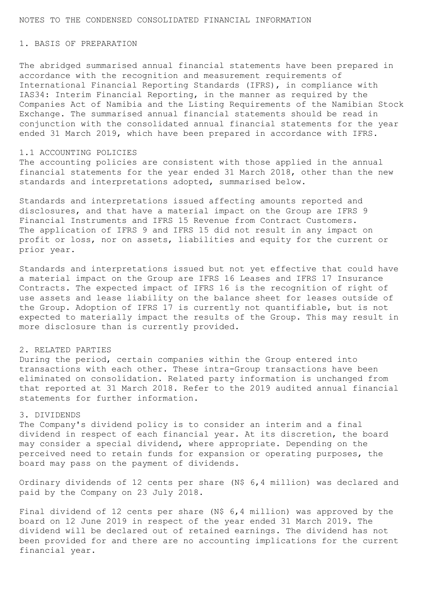### NOTES TO THE CONDENSED CONSOLIDATED FINANCIAL INFORMATION

## 1. BASIS OF PREPARATION

The abridged summarised annual financial statements have been prepared in accordance with the recognition and measurement requirements of International Financial Reporting Standards (IFRS), in compliance with IAS34: Interim Financial Reporting, in the manner as required by the Companies Act of Namibia and the Listing Requirements of the Namibian Stock Exchange. The summarised annual financial statements should be read in conjunction with the consolidated annual financial statements for the year ended 31 March 2019, which have been prepared in accordance with IFRS.

### 1.1 ACCOUNTING POLICIES

The accounting policies are consistent with those applied in the annual financial statements for the year ended 31 March 2018, other than the new standards and interpretations adopted, summarised below.

Standards and interpretations issued affecting amounts reported and disclosures, and that have a material impact on the Group are IFRS 9 Financial Instruments and IFRS 15 Revenue from Contract Customers. The application of IFRS 9 and IFRS 15 did not result in any impact on profit or loss, nor on assets, liabilities and equity for the current or prior year.

Standards and interpretations issued but not yet effective that could have a material impact on the Group are IFRS 16 Leases and IFRS 17 Insurance Contracts. The expected impact of IFRS 16 is the recognition of right of use assets and lease liability on the balance sheet for leases outside of the Group. Adoption of IFRS 17 is currently not quantifiable, but is not expected to materially impact the results of the Group. This may result in more disclosure than is currently provided.

### 2. RELATED PARTIES

During the period, certain companies within the Group entered into transactions with each other. These intra-Group transactions have been eliminated on consolidation. Related party information is unchanged from that reported at 31 March 2018. Refer to the 2019 audited annual financial statements for further information.

#### 3. DIVIDENDS

The Company's dividend policy is to consider an interim and a final dividend in respect of each financial year. At its discretion, the board may consider a special dividend, where appropriate. Depending on the perceived need to retain funds for expansion or operating purposes, the board may pass on the payment of dividends.

Ordinary dividends of 12 cents per share (N\$ 6,4 million) was declared and paid by the Company on 23 July 2018.

Final dividend of 12 cents per share (N\$ 6,4 million) was approved by the board on 12 June 2019 in respect of the year ended 31 March 2019. The dividend will be declared out of retained earnings. The dividend has not been provided for and there are no accounting implications for the current financial year.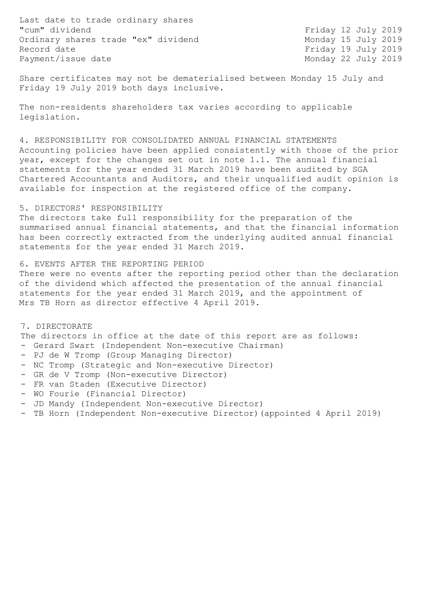Last date to trade ordinary shares "cum" dividend Ordinary shares trade "ex" dividend Monday 15 July 2019 Record date Friday 19 July 2019 Payment/issue date Monday 22 July 2019

Friday 12 July 2019

Share certificates may not be dematerialised between Monday 15 July and Friday 19 July 2019 both days inclusive.

The non-residents shareholders tax varies according to applicable legislation.

4. RESPONSIBILITY FOR CONSOLIDATED ANNUAL FINANCIAL STATEMENTS Accounting policies have been applied consistently with those of the prior year, except for the changes set out in note 1.1. The annual financial statements for the year ended 31 March 2019 have been audited by SGA Chartered Accountants and Auditors, and their unqualified audit opinion is available for inspection at the registered office of the company.

## 5. DIRECTORS' RESPONSIBILITY

The directors take full responsibility for the preparation of the summarised annual financial statements, and that the financial information has been correctly extracted from the underlying audited annual financial statements for the year ended 31 March 2019.

### 6. EVENTS AFTER THE REPORTING PERIOD

There were no events after the reporting period other than the declaration of the dividend which affected the presentation of the annual financial statements for the year ended 31 March 2019, and the appointment of Mrs TB Horn as director effective 4 April 2019.

7. DIRECTORATE

The directors in office at the date of this report are as follows: - Gerard Swart (Independent Non-executive Chairman)

- PJ de W Tromp (Group Managing Director)
- NC Tromp (Strategic and Non-executive Director)
- GR de V Tromp (Non-executive Director)
- FR van Staden (Executive Director)
- WO Fourie (Financial Director)
- JD Mandy (Independent Non-executive Director)
- TB Horn (Independent Non-executive Director)(appointed 4 April 2019)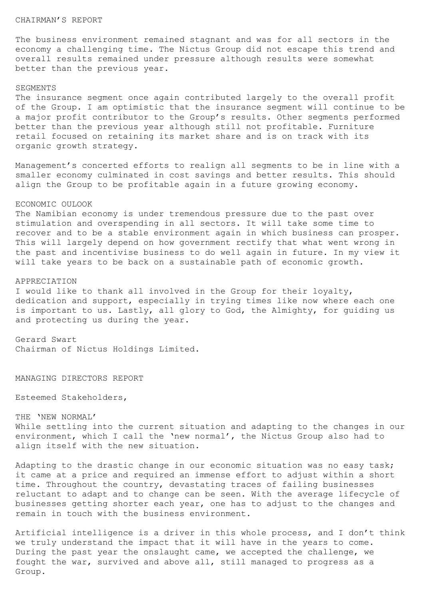### CHAIRMAN'S REPORT

The business environment remained stagnant and was for all sectors in the economy a challenging time. The Nictus Group did not escape this trend and overall results remained under pressure although results were somewhat better than the previous year.

### SEGMENTS

The insurance segment once again contributed largely to the overall profit of the Group. I am optimistic that the insurance segment will continue to be a major profit contributor to the Group's results. Other segments performed better than the previous year although still not profitable. Furniture retail focused on retaining its market share and is on track with its organic growth strategy.

Management's concerted efforts to realign all segments to be in line with a smaller economy culminated in cost savings and better results. This should align the Group to be profitable again in a future growing economy.

#### ECONOMIC OULOOK

The Namibian economy is under tremendous pressure due to the past over stimulation and overspending in all sectors. It will take some time to recover and to be a stable environment again in which business can prosper. This will largely depend on how government rectify that what went wrong in the past and incentivise business to do well again in future. In my view it will take years to be back on a sustainable path of economic growth.

#### APPRECIATION

I would like to thank all involved in the Group for their loyalty, dedication and support, especially in trying times like now where each one is important to us. Lastly, all glory to God, the Almighty, for guiding us and protecting us during the year.

Gerard Swart Chairman of Nictus Holdings Limited.

MANAGING DIRECTORS REPORT

Esteemed Stakeholders,

THE 'NEW NORMAL' While settling into the current situation and adapting to the changes in our environment, which I call the 'new normal', the Nictus Group also had to align itself with the new situation.

Adapting to the drastic change in our economic situation was no easy task; it came at a price and required an immense effort to adjust within a short time. Throughout the country, devastating traces of failing businesses reluctant to adapt and to change can be seen. With the average lifecycle of businesses getting shorter each year, one has to adjust to the changes and remain in touch with the business environment.

Artificial intelligence is a driver in this whole process, and I don't think we truly understand the impact that it will have in the years to come. During the past year the onslaught came, we accepted the challenge, we fought the war, survived and above all, still managed to progress as a Group.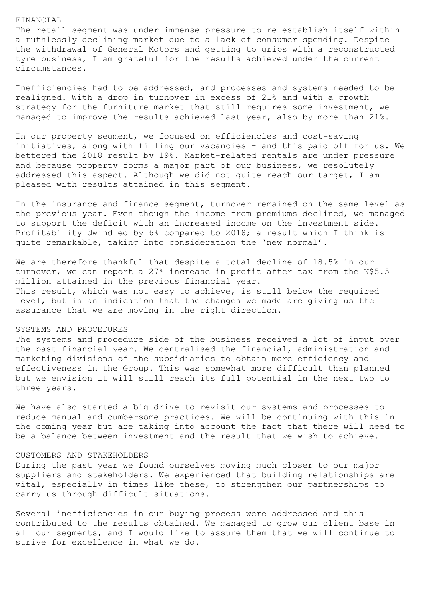#### FINANCIAL

The retail segment was under immense pressure to re-establish itself within a ruthlessly declining market due to a lack of consumer spending. Despite the withdrawal of General Motors and getting to grips with a reconstructed tyre business, I am grateful for the results achieved under the current circumstances.

Inefficiencies had to be addressed, and processes and systems needed to be realigned. With a drop in turnover in excess of 21% and with a growth strategy for the furniture market that still requires some investment, we managed to improve the results achieved last year, also by more than 21%.

In our property segment, we focused on efficiencies and cost-saving initiatives, along with filling our vacancies - and this paid off for us. We bettered the 2018 result by 19%. Market-related rentals are under pressure and because property forms a major part of our business, we resolutely addressed this aspect. Although we did not quite reach our target, I am pleased with results attained in this segment.

In the insurance and finance segment, turnover remained on the same level as the previous year. Even though the income from premiums declined, we managed to support the deficit with an increased income on the investment side. Profitability dwindled by 6% compared to 2018; a result which I think is quite remarkable, taking into consideration the 'new normal'.

We are therefore thankful that despite a total decline of 18.5% in our turnover, we can report a 27% increase in profit after tax from the N\$5.5 million attained in the previous financial year. This result, which was not easy to achieve, is still below the required level, but is an indication that the changes we made are giving us the assurance that we are moving in the right direction.

#### SYSTEMS AND PROCEDURES

The systems and procedure side of the business received a lot of input over the past financial year. We centralised the financial, administration and marketing divisions of the subsidiaries to obtain more efficiency and effectiveness in the Group. This was somewhat more difficult than planned but we envision it will still reach its full potential in the next two to three years.

We have also started a big drive to revisit our systems and processes to reduce manual and cumbersome practices. We will be continuing with this in the coming year but are taking into account the fact that there will need to be a balance between investment and the result that we wish to achieve.

### CUSTOMERS AND STAKEHOLDERS

During the past year we found ourselves moving much closer to our major suppliers and stakeholders. We experienced that building relationships are vital, especially in times like these, to strengthen our partnerships to carry us through difficult situations.

Several inefficiencies in our buying process were addressed and this contributed to the results obtained. We managed to grow our client base in all our segments, and I would like to assure them that we will continue to strive for excellence in what we do.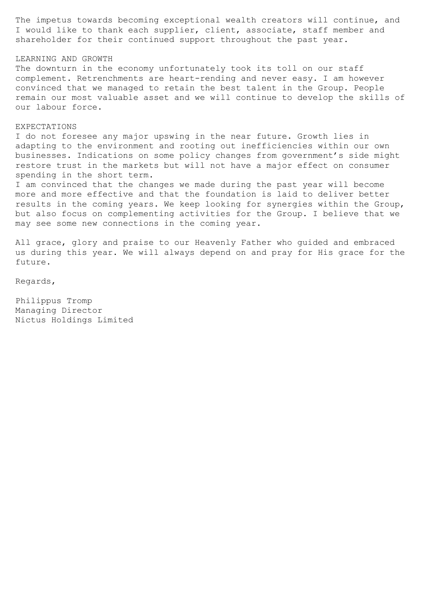The impetus towards becoming exceptional wealth creators will continue, and I would like to thank each supplier, client, associate, staff member and shareholder for their continued support throughout the past year.

## LEARNING AND GROWTH

The downturn in the economy unfortunately took its toll on our staff complement. Retrenchments are heart-rending and never easy. I am however convinced that we managed to retain the best talent in the Group. People remain our most valuable asset and we will continue to develop the skills of our labour force.

#### EXPECTATIONS

I do not foresee any major upswing in the near future. Growth lies in adapting to the environment and rooting out inefficiencies within our own businesses. Indications on some policy changes from government's side might restore trust in the markets but will not have a major effect on consumer spending in the short term.

I am convinced that the changes we made during the past year will become more and more effective and that the foundation is laid to deliver better results in the coming years. We keep looking for synergies within the Group, but also focus on complementing activities for the Group. I believe that we may see some new connections in the coming year.

All grace, glory and praise to our Heavenly Father who guided and embraced us during this year. We will always depend on and pray for His grace for the future.

Regards,

Philippus Tromp Managing Director Nictus Holdings Limited